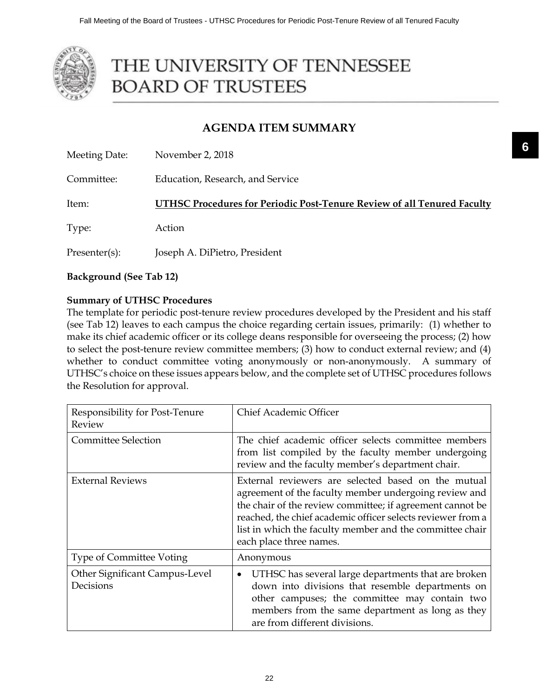

# THE UNIVERSITY OF TENNESSEE **BOARD OF TRUSTEES**

## **AGENDA ITEM SUMMARY**

| Meeting Date: | November 2, 2018                                                        |
|---------------|-------------------------------------------------------------------------|
| Committee:    | Education, Research, and Service                                        |
| Item:         | UTHSC Procedures for Periodic Post-Tenure Review of all Tenured Faculty |
| Type:         | Action                                                                  |
| Presenter(s): | Joseph A. DiPietro, President                                           |

**Background (See Tab 12)**

## **Summary of UTHSC Procedures**

The template for periodic post-tenure review procedures developed by the President and his staff (see Tab 12) leaves to each campus the choice regarding certain issues, primarily: (1) whether to make its chief academic officer or its college deans responsible for overseeing the process; (2) how to select the post-tenure review committee members; (3) how to conduct external review; and (4) whether to conduct committee voting anonymously or non-anonymously. A summary of UTHSC's choice on these issues appears below, and the complete set of UTHSC procedures follows the Resolution for approval.

| Responsibility for Post-Tenure<br>Review    | Chief Academic Officer                                                                                                                                                                                                                                                                                                          |  |
|---------------------------------------------|---------------------------------------------------------------------------------------------------------------------------------------------------------------------------------------------------------------------------------------------------------------------------------------------------------------------------------|--|
| <b>Committee Selection</b>                  | The chief academic officer selects committee members<br>from list compiled by the faculty member undergoing<br>review and the faculty member's department chair.                                                                                                                                                                |  |
| <b>External Reviews</b>                     | External reviewers are selected based on the mutual<br>agreement of the faculty member undergoing review and<br>the chair of the review committee; if agreement cannot be<br>reached, the chief academic officer selects reviewer from a<br>list in which the faculty member and the committee chair<br>each place three names. |  |
| <b>Type of Committee Voting</b>             | Anonymous                                                                                                                                                                                                                                                                                                                       |  |
| Other Significant Campus-Level<br>Decisions | UTHSC has several large departments that are broken<br>$\bullet$<br>down into divisions that resemble departments on<br>other campuses; the committee may contain two<br>members from the same department as long as they<br>are from different divisions.                                                                      |  |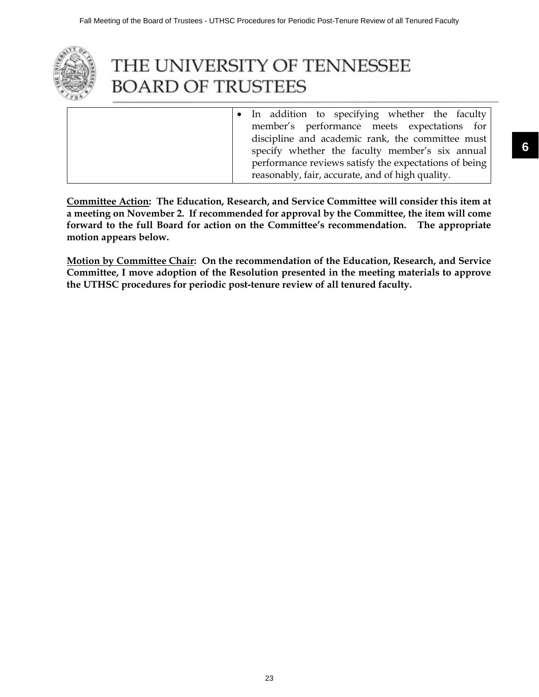

# THE UNIVERSITY OF TENNESSEE **BOARD OF TRUSTEES**

• In addition to specifying whether the faculty member's performance meets expectations for discipline and academic rank, the committee must specify whether the faculty member's six annual performance reviews satisfy the expectations of being reasonably, fair, accurate, and of high quality.

**Committee Action: The Education, Research, and Service Committee will consider this item at a meeting on November 2. If recommended for approval by the Committee, the item will come forward to the full Board for action on the Committee's recommendation. The appropriate motion appears below.**

**Motion by Committee Chair: On the recommendation of the Education, Research, and Service Committee, I move adoption of the Resolution presented in the meeting materials to approve the UTHSC procedures for periodic post-tenure review of all tenured faculty.**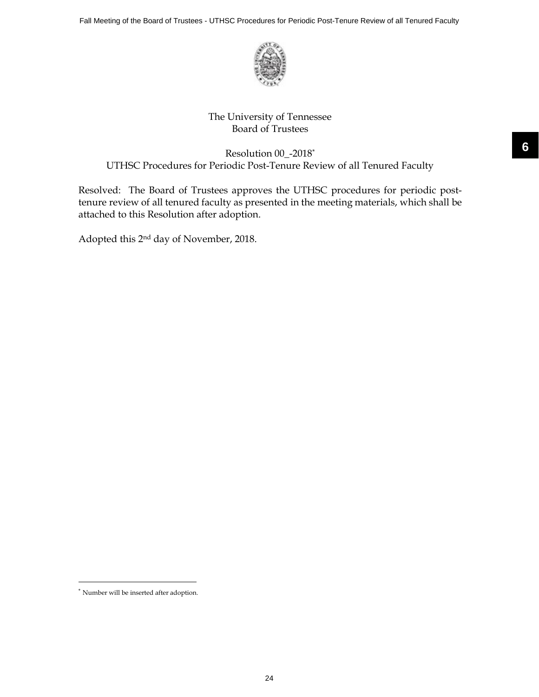

## The University of Tennessee Board of Trustees

## Resolution 00\_-2018\* UTHSC Procedures for Periodic Post-Tenure Review of all Tenured Faculty

Resolved: The Board of Trustees approves the UTHSC procedures for periodic posttenure review of all tenured faculty as presented in the meeting materials, which shall be attached to this Resolution after adoption.

Adopted this 2nd day of November, 2018.

<sup>\*</sup> Number will be inserted after adoption.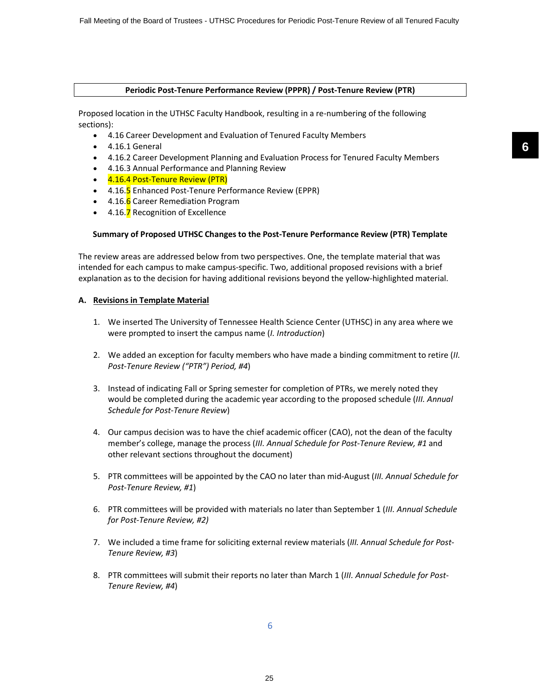#### **Periodic Post-Tenure Performance Review (PPPR) / Post-Tenure Review (PTR)**

Proposed location in the UTHSC Faculty Handbook, resulting in a re-numbering of the following sections):

- 4.16 Career Development and Evaluation of Tenured Faculty Members
- 4.16.1 General
- 4.16.2 Career Development Planning and Evaluation Process for Tenured Faculty Members
- 4.16.3 Annual Performance and Planning Review
- 4.16.4 Post-Tenure Review (PTR)
- 4.16.5 Enhanced Post-Tenure Performance Review (EPPR)
- 4.16.6 Career Remediation Program
- 4.16.7 Recognition of Excellence

#### **Summary of Proposed UTHSC Changes to the Post-Tenure Performance Review (PTR) Template**

The review areas are addressed below from two perspectives. One, the template material that was intended for each campus to make campus-specific. Two, additional proposed revisions with a brief explanation as to the decision for having additional revisions beyond the yellow-highlighted material.

#### **A. Revisions in Template Material**

- 1. We inserted The University of Tennessee Health Science Center (UTHSC) in any area where we were prompted to insert the campus name (*I. Introduction*)
- 2. We added an exception for faculty members who have made a binding commitment to retire (*II. Post-Tenure Review ("PTR") Period, #4*)
- 3. Instead of indicating Fall or Spring semester for completion of PTRs, we merely noted they would be completed during the academic year according to the proposed schedule (*III. Annual Schedule for Post-Tenure Review*)
- 4. Our campus decision was to have the chief academic officer (CAO), not the dean of the faculty member's college, manage the process (*III. Annual Schedule for Post-Tenure Review, #1* and other relevant sections throughout the document)
- 5. PTR committees will be appointed by the CAO no later than mid-August (*III. Annual Schedule for Post-Tenure Review, #1*)
- 6. PTR committees will be provided with materials no later than September 1 (*III. Annual Schedule for Post-Tenure Review, #2)*
- 7. We included a time frame for soliciting external review materials (*III. Annual Schedule for Post-Tenure Review, #3*)
- 8. PTR committees will submit their reports no later than March 1 (*III. Annual Schedule for Post-Tenure Review, #4*)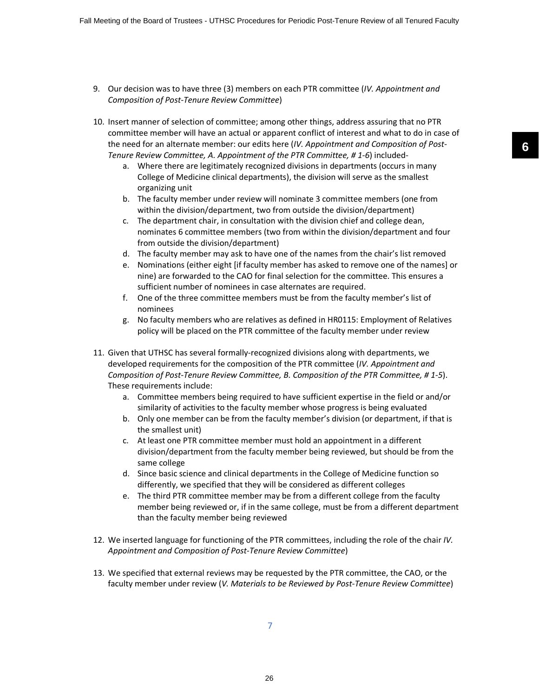- 9. Our decision was to have three (3) members on each PTR committee (*IV. Appointment and Composition of Post-Tenure Review Committee*)
- 10. Insert manner of selection of committee; among other things, address assuring that no PTR committee member will have an actual or apparent conflict of interest and what to do in case of the need for an alternate member: our edits here (*IV. Appointment and Composition of Post-Tenure Review Committee, A. Appointment of the PTR Committee, # 1-6*) included
	- a. Where there are legitimately recognized divisions in departments (occurs in many College of Medicine clinical departments), the division will serve as the smallest organizing unit
	- b. The faculty member under review will nominate 3 committee members (one from within the division/department, two from outside the division/department)
	- c. The department chair, in consultation with the division chief and college dean, nominates 6 committee members (two from within the division/department and four from outside the division/department)
	- d. The faculty member may ask to have one of the names from the chair's list removed
	- e. Nominations (either eight [if faculty member has asked to remove one of the names] or nine) are forwarded to the CAO for final selection for the committee. This ensures a sufficient number of nominees in case alternates are required.
	- f. One of the three committee members must be from the faculty member's list of nominees
	- g. No faculty members who are relatives as defined in HR0115: Employment of Relatives policy will be placed on the PTR committee of the faculty member under review
- 11. Given that UTHSC has several formally-recognized divisions along with departments, we developed requirements for the composition of the PTR committee (*IV. Appointment and Composition of Post-Tenure Review Committee, B. Composition of the PTR Committee, # 1-5*). These requirements include:
	- a. Committee members being required to have sufficient expertise in the field or and/or similarity of activities to the faculty member whose progress is being evaluated
	- b. Only one member can be from the faculty member's division (or department, if that is the smallest unit)
	- c. At least one PTR committee member must hold an appointment in a different division/department from the faculty member being reviewed, but should be from the same college
	- d. Since basic science and clinical departments in the College of Medicine function so differently, we specified that they will be considered as different colleges
	- e. The third PTR committee member may be from a different college from the faculty member being reviewed or, if in the same college, must be from a different department than the faculty member being reviewed
- 12. We inserted language for functioning of the PTR committees, including the role of the chair *IV. Appointment and Composition of Post-Tenure Review Committee*)
- 13. We specified that external reviews may be requested by the PTR committee, the CAO, or the faculty member under review (*V. Materials to be Reviewed by Post-Tenure Review Committee*)

7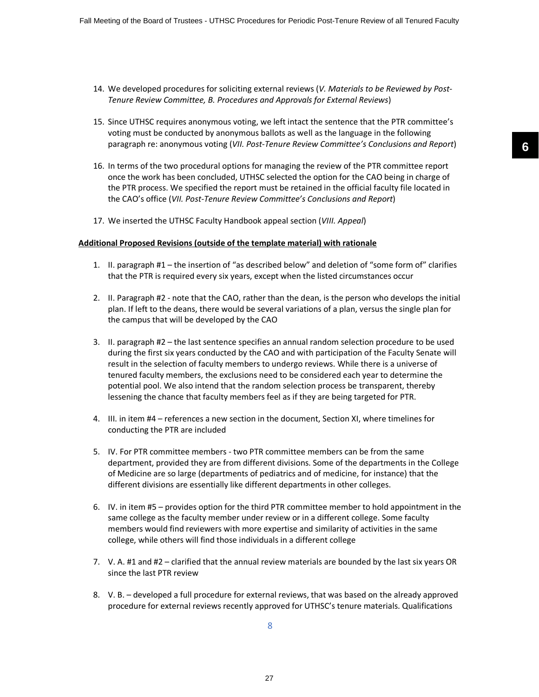- 14. We developed procedures for soliciting external reviews (*V. Materials to be Reviewed by Post-Tenure Review Committee, B. Procedures and Approvals for External Reviews*)
- 15. Since UTHSC requires anonymous voting, we left intact the sentence that the PTR committee's voting must be conducted by anonymous ballots as well as the language in the following paragraph re: anonymous voting (*VII. Post-Tenure Review Committee's Conclusions and Report*)
- 16. In terms of the two procedural options for managing the review of the PTR committee report once the work has been concluded, UTHSC selected the option for the CAO being in charge of the PTR process. We specified the report must be retained in the official faculty file located in the CAO's office (*VII. Post-Tenure Review Committee's Conclusions and Report*)
- 17. We inserted the UTHSC Faculty Handbook appeal section (*VIII. Appeal*)

#### **Additional Proposed Revisions (outside of the template material) with rationale**

- 1. II. paragraph #1 the insertion of "as described below" and deletion of "some form of" clarifies that the PTR is required every six years, except when the listed circumstances occur
- 2. II. Paragraph #2 note that the CAO, rather than the dean, is the person who develops the initial plan. If left to the deans, there would be several variations of a plan, versus the single plan for the campus that will be developed by the CAO
- 3. II. paragraph #2 the last sentence specifies an annual random selection procedure to be used during the first six years conducted by the CAO and with participation of the Faculty Senate will result in the selection of faculty members to undergo reviews. While there is a universe of tenured faculty members, the exclusions need to be considered each year to determine the potential pool. We also intend that the random selection process be transparent, thereby lessening the chance that faculty members feel as if they are being targeted for PTR.
- 4. III. in item #4 references a new section in the document, Section XI, where timelines for conducting the PTR are included
- 5. IV. For PTR committee members two PTR committee members can be from the same department, provided they are from different divisions. Some of the departments in the College of Medicine are so large (departments of pediatrics and of medicine, for instance) that the different divisions are essentially like different departments in other colleges.
- 6. IV. in item #5 provides option for the third PTR committee member to hold appointment in the same college as the faculty member under review or in a different college. Some faculty members would find reviewers with more expertise and similarity of activities in the same college, while others will find those individuals in a different college
- 7. V. A. #1 and #2 clarified that the annual review materials are bounded by the last six years OR since the last PTR review
- 8. V. B. developed a full procedure for external reviews, that was based on the already approved procedure for external reviews recently approved for UTHSC's tenure materials. Qualifications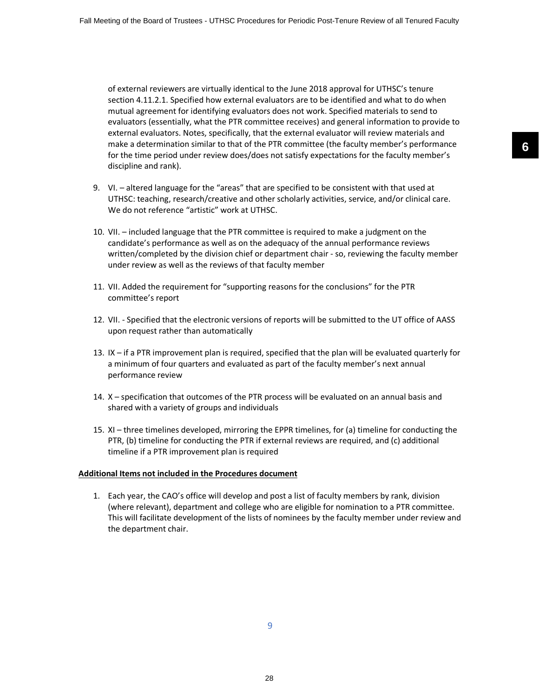of external reviewers are virtually identical to the June 2018 approval for UTHSC's tenure section 4.11.2.1. Specified how external evaluators are to be identified and what to do when mutual agreement for identifying evaluators does not work. Specified materials to send to evaluators (essentially, what the PTR committee receives) and general information to provide to external evaluators. Notes, specifically, that the external evaluator will review materials and make a determination similar to that of the PTR committee (the faculty member's performance for the time period under review does/does not satisfy expectations for the faculty member's discipline and rank).

- 9. VI. altered language for the "areas" that are specified to be consistent with that used at UTHSC: teaching, research/creative and other scholarly activities, service, and/or clinical care. We do not reference "artistic" work at UTHSC.
- 10. VII. included language that the PTR committee is required to make a judgment on the candidate's performance as well as on the adequacy of the annual performance reviews written/completed by the division chief or department chair - so, reviewing the faculty member under review as well as the reviews of that faculty member
- 11. VII. Added the requirement for "supporting reasons for the conclusions" for the PTR committee's report
- 12. VII. Specified that the electronic versions of reports will be submitted to the UT office of AASS upon request rather than automatically
- 13. IX if a PTR improvement plan is required, specified that the plan will be evaluated quarterly for a minimum of four quarters and evaluated as part of the faculty member's next annual performance review
- 14. X specification that outcomes of the PTR process will be evaluated on an annual basis and shared with a variety of groups and individuals
- 15. XI three timelines developed, mirroring the EPPR timelines, for (a) timeline for conducting the PTR, (b) timeline for conducting the PTR if external reviews are required, and (c) additional timeline if a PTR improvement plan is required

#### **Additional Items not included in the Procedures document**

1. Each year, the CAO's office will develop and post a list of faculty members by rank, division (where relevant), department and college who are eligible for nomination to a PTR committee. This will facilitate development of the lists of nominees by the faculty member under review and the department chair.

**6**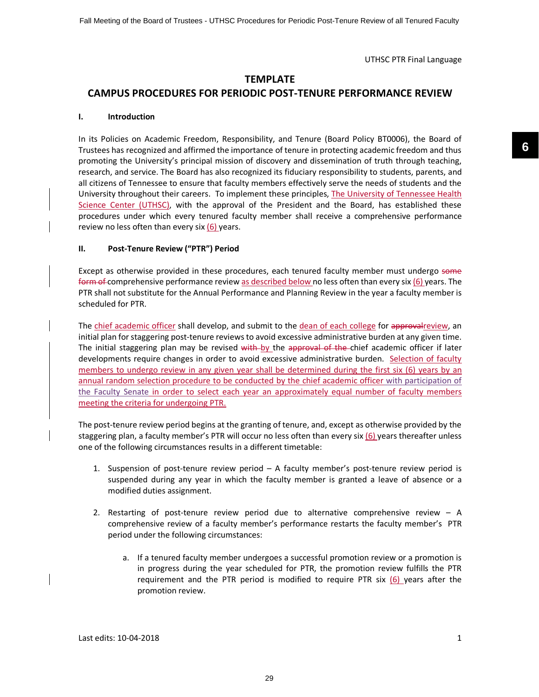## **TEMPLATE**

## **CAMPUS PROCEDURES FOR PERIODIC POST-TENURE PERFORMANCE REVIEW**

#### **I. Introduction**

In its Policies on Academic Freedom, Responsibility, and Tenure (Board Policy BT0006), the Board of Trustees has recognized and affirmed the importance of tenure in protecting academic freedom and thus promoting the University's principal mission of discovery and dissemination of truth through teaching, research, and service. The Board has also recognized its fiduciary responsibility to students, parents, and all citizens of Tennessee to ensure that faculty members effectively serve the needs of students and the University throughout their careers. To implement these principles, The University of Tennessee Health Science Center (UTHSC), with the approval of the President and the Board, has established these procedures under which every tenured faculty member shall receive a comprehensive performance review no less often than every six (6) years.

#### **II. Post-Tenure Review ("PTR") Period**

Except as otherwise provided in these procedures, each tenured faculty member must undergo some form of comprehensive performance review as described below no less often than every six (6) years. The PTR shall not substitute for the Annual Performance and Planning Review in the year a faculty member is scheduled for PTR.

The chief academic officer shall develop, and submit to the dean of each college for approvalreview, an initial plan for staggering post-tenure reviews to avoid excessive administrative burden at any given time. The initial staggering plan may be revised with by the approval of the chief academic officer if later developments require changes in order to avoid excessive administrative burden. Selection of faculty members to undergo review in any given year shall be determined during the first six (6) years by an annual random selection procedure to be conducted by the chief academic officer with participation of the Faculty Senate in order to select each year an approximately equal number of faculty members meeting the criteria for undergoing PTR.

The post-tenure review period begins at the granting of tenure, and, except as otherwise provided by the staggering plan, a faculty member's PTR will occur no less often than every six  $(6)$  years thereafter unless one of the following circumstances results in a different timetable:

- 1. Suspension of post-tenure review period A faculty member's post-tenure review period is suspended during any year in which the faculty member is granted a leave of absence or a modified duties assignment.
- 2. Restarting of post-tenure review period due to alternative comprehensive review A comprehensive review of a faculty member's performance restarts the faculty member's PTR period under the following circumstances:
	- a. If a tenured faculty member undergoes a successful promotion review or a promotion is in progress during the year scheduled for PTR, the promotion review fulfills the PTR requirement and the PTR period is modified to require PTR six (6) years after the promotion review.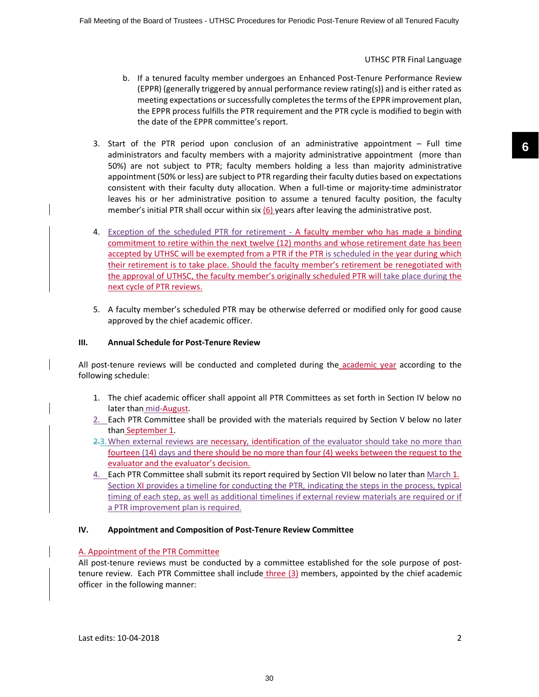- b. If a tenured faculty member undergoes an Enhanced Post-Tenure Performance Review (EPPR) (generally triggered by annual performance review rating(s)) and is either rated as meeting expectations or successfully completes the terms of the EPPR improvement plan, the EPPR process fulfills the PTR requirement and the PTR cycle is modified to begin with the date of the EPPR committee's report.
- 3. Start of the PTR period upon conclusion of an administrative appointment Full time administrators and faculty members with a majority administrative appointment (more than 50%) are not subject to PTR; faculty members holding a less than majority administrative appointment (50% or less) are subject to PTR regarding their faculty duties based on expectations consistent with their faculty duty allocation. When a full-time or majority-time administrator leaves his or her administrative position to assume a tenured faculty position, the faculty member's initial PTR shall occur within six (6) years after leaving the administrative post.
- 4. Exception of the scheduled PTR for retirement A faculty member who has made a binding commitment to retire within the next twelve (12) months and whose retirement date has been accepted by UTHSC will be exempted from a PTR if the PTR is scheduled in the year during which their retirement is to take place. Should the faculty member's retirement be renegotiated with the approval of UTHSC, the faculty member's originally scheduled PTR will take place during the next cycle of PTR reviews.
- 5. A faculty member's scheduled PTR may be otherwise deferred or modified only for good cause approved by the chief academic officer.

#### **III. Annual Schedule for Post-Tenure Review**

All post-tenure reviews will be conducted and completed during the academic year according to the following schedule:

- 1. The chief academic officer shall appoint all PTR Committees as set forth in Section IV below no later than mid-August.
- 2. Each PTR Committee shall be provided with the materials required by Section V below no later than September 1.
- 2.3.When external reviews are necessary, identification of the evaluator should take no more than fourteen (14) days and there should be no more than four (4) weeks between the request to the evaluator and the evaluator's decision.
- 4. Each PTR Committee shall submit its report required by Section VII below no later than March 1. Section XI provides a timeline for conducting the PTR, indicating the steps in the process, typical timing of each step, as well as additional timelines if external review materials are required or if a PTR improvement plan is required.

#### **IV. Appointment and Composition of Post-Tenure Review Committee**

#### A. Appointment of the PTR Committee

All post-tenure reviews must be conducted by a committee established for the sole purpose of posttenure review. Each PTR Committee shall include three (3) members, appointed by the chief academic officer in the following manner: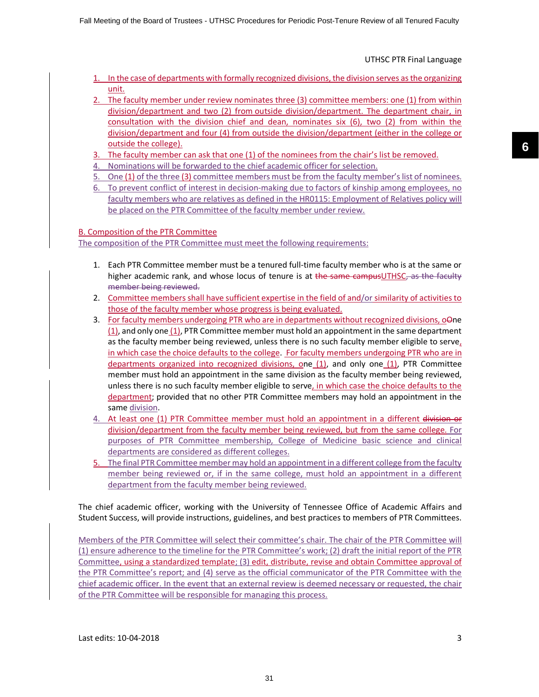- 1. In the case of departments with formally recognized divisions, the division serves as the organizing unit.
- 2. The faculty member under review nominates three (3) committee members: one (1) from within division/department and two (2) from outside division/department. The department chair, in consultation with the division chief and dean, nominates six (6), two (2) from within the division/department and four (4) from outside the division/department (either in the college or outside the college).
- 3. The faculty member can ask that one (1) of the nominees from the chair's list be removed.
- 4. Nominations will be forwarded to the chief academic officer for selection.
- 5. One (1) of the three (3) committee members must be from the faculty member's list of nominees.
- 6. To prevent conflict of interest in decision-making due to factors of kinship among employees, no faculty members who are relatives as defined in the HR0115: Employment of Relatives policy will be placed on the PTR Committee of the faculty member under review.

#### B. Composition of the PTR Committee

The composition of the PTR Committee must meet the following requirements:

- 1. Each PTR Committee member must be a tenured full-time faculty member who is at the same or higher academic rank, and whose locus of tenure is at the same campusUTHSC, as the faculty member being reviewed.
- 2. Committee members shall have sufficient expertise in the field of and/or similarity of activities to those of the faculty member whose progress is being evaluated.
- 3. For faculty members undergoing PTR who are in departments without recognized divisions, oone (1), and only one (1), PTR Committee member must hold an appointment in the same department as the faculty member being reviewed, unless there is no such faculty member eligible to serve, in which case the choice defaults to the college. For faculty members undergoing PTR who are in departments organized into recognized divisions, one (1), and only one (1), PTR Committee member must hold an appointment in the same division as the faculty member being reviewed, unless there is no such faculty member eligible to serve, in which case the choice defaults to the department; provided that no other PTR Committee members may hold an appointment in the same division.
- 4. At least one (1) PTR Committee member must hold an appointment in a different division or division/department from the faculty member being reviewed, but from the same college. For purposes of PTR Committee membership, College of Medicine basic science and clinical departments are considered as different colleges.
- 5. The final PTR Committee member may hold an appointment in a different college from the faculty member being reviewed or, if in the same college, must hold an appointment in a different department from the faculty member being reviewed.

The chief academic officer, working with the University of Tennessee Office of Academic Affairs and Student Success, will provide instructions, guidelines, and best practices to members of PTR Committees.

Members of the PTR Committee will select their committee's chair. The chair of the PTR Committee will (1) ensure adherence to the timeline for the PTR Committee's work; (2) draft the initial report of the PTR Committee, using a standardized template; (3) edit, distribute, revise and obtain Committee approval of the PTR Committee's report; and (4) serve as the official communicator of the PTR Committee with the chief academic officer. In the event that an external review is deemed necessary or requested, the chair of the PTR Committee will be responsible for managing this process.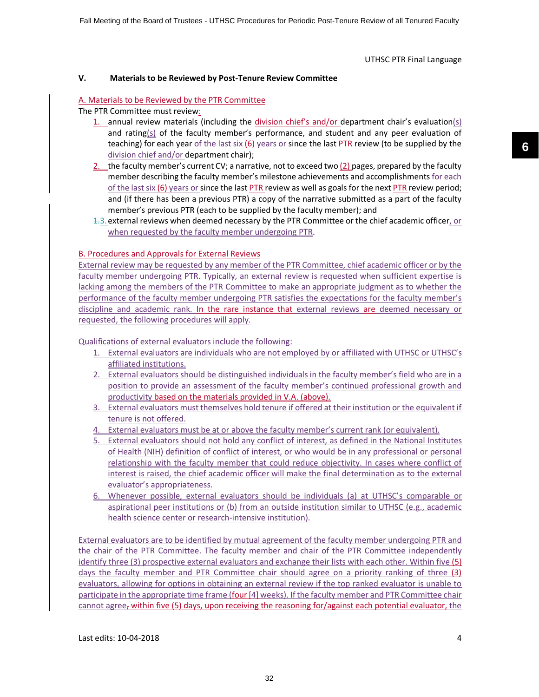#### **V. Materials to be Reviewed by Post-Tenure Review Committee**

#### A. Materials to be Reviewed by the PTR Committee

The PTR Committee must review:

- 1. annual review materials (including the division chief's and/or department chair's evaluation(s) and rating( $s$ ) of the faculty member's performance, and student and any peer evaluation of teaching) for each year of the last six (6) years or since the last PTR review (to be supplied by the division chief and/or department chair);
- 2. the faculty member's current CV; a narrative, not to exceed two (2) pages, prepared by the faculty member describing the faculty member's milestone achievements and accomplishments for each of the last six  $(6)$  years or since the last PTR review as well as goals for the next PTR review period; and (if there has been a previous PTR) a copy of the narrative submitted as a part of the faculty member's previous PTR (each to be supplied by the faculty member); and
- $1.3$  external reviews when deemed necessary by the PTR Committee or the chief academic officer, or when requested by the faculty member undergoing PTR.

#### B. Procedures and Approvals for External Reviews

External review may be requested by any member of the PTR Committee, chief academic officer or by the faculty member undergoing PTR. Typically, an external review is requested when sufficient expertise is lacking among the members of the PTR Committee to make an appropriate judgment as to whether the performance of the faculty member undergoing PTR satisfies the expectations for the faculty member's discipline and academic rank. In the rare instance that external reviews are deemed necessary or requested, the following procedures will apply.

Qualifications of external evaluators include the following:

- 1. External evaluators are individuals who are not employed by or affiliated with UTHSC or UTHSC's affiliated institutions.
- 2. External evaluators should be distinguished individuals in the faculty member's field who are in a position to provide an assessment of the faculty member's continued professional growth and productivity based on the materials provided in V.A. (above).
- 3. External evaluators must themselves hold tenure if offered at their institution or the equivalent if tenure is not offered.
- 4. External evaluators must be at or above the faculty member's current rank (or equivalent).
- 5. External evaluators should not hold any conflict of interest, as defined in the National Institutes of Health (NIH) definition of conflict of interest, or who would be in any professional or personal relationship with the faculty member that could reduce objectivity. In cases where conflict of interest is raised, the chief academic officer will make the final determination as to the external evaluator's appropriateness.
- 6. Whenever possible, external evaluators should be individuals (a) at UTHSC's comparable or aspirational peer institutions or (b) from an outside institution similar to UTHSC (e.g., academic health science center or research-intensive institution).

External evaluators are to be identified by mutual agreement of the faculty member undergoing PTR and the chair of the PTR Committee. The faculty member and chair of the PTR Committee independently identify three (3) prospective external evaluators and exchange their lists with each other. Within five (5) days the faculty member and PTR Committee chair should agree on a priority ranking of three (3) evaluators, allowing for options in obtaining an external review if the top ranked evaluator is unable to participate in the appropriate time frame (four [4] weeks). If the faculty member and PTR Committee chair cannot agree, within five (5) days, upon receiving the reasoning for/against each potential evaluator, the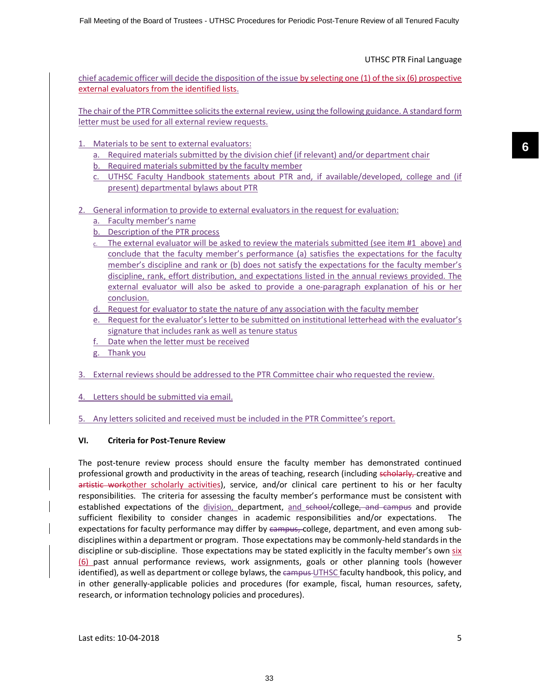chief academic officer will decide the disposition of the issue by selecting one (1) of the six (6) prospective external evaluators from the identified lists.

The chair of the PTR Committee solicits the external review, using the following guidance. A standard form letter must be used for all external review requests.

- 1. Materials to be sent to external evaluators:
	- a. Required materials submitted by the division chief (if relevant) and/or department chair
	- b. Required materials submitted by the faculty member
	- c. UTHSC Faculty Handbook statements about PTR and, if available/developed, college and (if present) departmental bylaws about PTR
- 2. General information to provide to external evaluators in the request for evaluation:
	- a. Faculty member's name
	- b. Description of the PTR process
	- c. The external evaluator will be asked to review the materials submitted (see item #1 above) and conclude that the faculty member's performance (a) satisfies the expectations for the faculty member's discipline and rank or (b) does not satisfy the expectations for the faculty member's discipline, rank, effort distribution, and expectations listed in the annual reviews provided. The external evaluator will also be asked to provide a one-paragraph explanation of his or her conclusion.
	- d. Request for evaluator to state the nature of any association with the faculty member
	- e. Request for the evaluator's letter to be submitted on institutional letterhead with the evaluator's signature that includes rank as well as tenure status
	- f. Date when the letter must be received
	- g. Thank you
- 3. External reviews should be addressed to the PTR Committee chair who requested the review.
- 4. Letters should be submitted via email.
- 5. Any letters solicited and received must be included in the PTR Committee's report.

#### **VI. Criteria for Post-Tenure Review**

The post-tenure review process should ensure the faculty member has demonstrated continued professional growth and productivity in the areas of teaching, research (including scholarly, creative and artistic workother scholarly activities), service, and/or clinical care pertinent to his or her faculty responsibilities. The criteria for assessing the faculty member's performance must be consistent with established expectations of the division, department, and school/college, and campus and provide sufficient flexibility to consider changes in academic responsibilities and/or expectations. The expectations for faculty performance may differ by campus, college, department, and even among subdisciplines within a department or program. Those expectations may be commonly-held standards in the discipline or sub-discipline. Those expectations may be stated explicitly in the faculty member's own six (6) past annual performance reviews, work assignments, goals or other planning tools (however identified), as well as department or college bylaws, the campus UTHSC faculty handbook, this policy, and in other generally-applicable policies and procedures (for example, fiscal, human resources, safety, research, or information technology policies and procedures).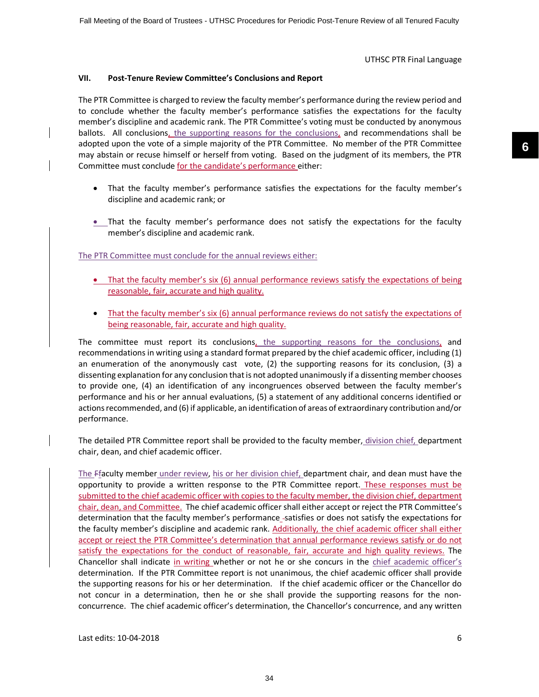#### **VII. Post-Tenure Review Committee's Conclusions and Report**

The PTR Committee is charged to review the faculty member's performance during the review period and to conclude whether the faculty member's performance satisfies the expectations for the faculty member's discipline and academic rank. The PTR Committee's voting must be conducted by anonymous ballots. All conclusions, the supporting reasons for the conclusions, and recommendations shall be adopted upon the vote of a simple majority of the PTR Committee. No member of the PTR Committee may abstain or recuse himself or herself from voting. Based on the judgment of its members, the PTR Committee must conclude for the candidate's performance either:

- That the faculty member's performance satisfies the expectations for the faculty member's discipline and academic rank; or
- That the faculty member's performance does not satisfy the expectations for the faculty member's discipline and academic rank.

#### The PTR Committee must conclude for the annual reviews either:

- That the faculty member's six (6) annual performance reviews satisfy the expectations of being reasonable, fair, accurate and high quality.
- That the faculty member's six (6) annual performance reviews do not satisfy the expectations of being reasonable, fair, accurate and high quality.

The committee must report its conclusions, the supporting reasons for the conclusions, and recommendations in writing using a standard format prepared by the chief academic officer, including (1) an enumeration of the anonymously cast vote, (2) the supporting reasons for its conclusion, (3) a dissenting explanation for any conclusion that is not adopted unanimously if a dissenting member chooses to provide one, (4) an identification of any incongruences observed between the faculty member's performance and his or her annual evaluations, (5) a statement of any additional concerns identified or actions recommended, and (6) if applicable, an identification of areas of extraordinary contribution and/or performance.

The detailed PTR Committee report shall be provided to the faculty member, division chief, department chair, dean, and chief academic officer.

The Ffaculty member under review, his or her division chief, department chair, and dean must have the opportunity to provide a written response to the PTR Committee report. These responses must be submitted to the chief academic officer with copies to the faculty member, the division chief, department chair, dean, and Committee. The chief academic officer shall either accept or reject the PTR Committee's determination that the faculty member's performance-satisfies or does not satisfy the expectations for the faculty member's discipline and academic rank. Additionally, the chief academic officer shall either accept or reject the PTR Committee's determination that annual performance reviews satisfy or do not satisfy the expectations for the conduct of reasonable, fair, accurate and high quality reviews. The Chancellor shall indicate in writing whether or not he or she concurs in the chief academic officer's determination. If the PTR Committee report is not unanimous, the chief academic officer shall provide the supporting reasons for his or her determination. If the chief academic officer or the Chancellor do not concur in a determination, then he or she shall provide the supporting reasons for the nonconcurrence. The chief academic officer's determination, the Chancellor's concurrence, and any written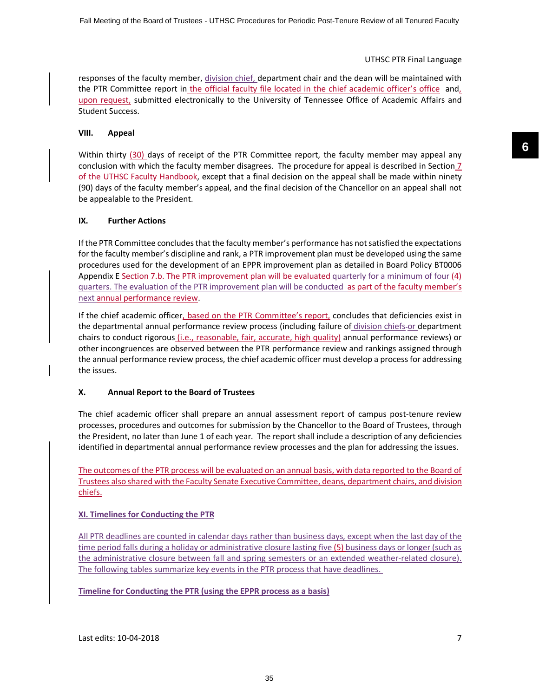responses of the faculty member, division chief, department chair and the dean will be maintained with the PTR Committee report in the official faculty file located in the chief academic officer's office and, upon request, submitted electronically to the University of Tennessee Office of Academic Affairs and Student Success.

#### **VIII. Appeal**

Within thirty (30) days of receipt of the PTR Committee report, the faculty member may appeal any conclusion with which the faculty member disagrees. The procedure for appeal is described in Section 7 of the UTHSC Faculty Handbook, except that a final decision on the appeal shall be made within ninety (90) days of the faculty member's appeal, and the final decision of the Chancellor on an appeal shall not be appealable to the President.

#### **IX. Further Actions**

If the PTR Committee concludes that the faculty member's performance has notsatisfied the expectations for the faculty member's discipline and rank, a PTR improvement plan must be developed using the same procedures used for the development of an EPPR improvement plan as detailed in Board Policy BT0006 Appendix E Section 7.b. The PTR improvement plan will be evaluated quarterly for a minimum of four (4) quarters. The evaluation of the PTR improvement plan will be conducted as part of the faculty member's next annual performance review.

If the chief academic officer, based on the PTR Committee's report, concludes that deficiencies exist in the departmental annual performance review process (including failure of division chiefs or department chairs to conduct rigorous *(i.e., reasonable, fair, accurate, high quality)* annual performance reviews) or other incongruences are observed between the PTR performance review and rankings assigned through the annual performance review process, the chief academic officer must develop a process for addressing the issues.

## **X. Annual Report to the Board of Trustees**

The chief academic officer shall prepare an annual assessment report of campus post-tenure review processes, procedures and outcomes for submission by the Chancellor to the Board of Trustees, through the President, no later than June 1 of each year. The report shall include a description of any deficiencies identified in departmental annual performance review processes and the plan for addressing the issues.

The outcomes of the PTR process will be evaluated on an annual basis, with data reported to the Board of Trustees also shared with the Faculty Senate Executive Committee, deans, department chairs, and division chiefs.

## **XI. Timelines for Conducting the PTR**

All PTR deadlines are counted in calendar days rather than business days, except when the last day of the time period falls during a holiday or administrative closure lasting five (5) business days or longer (such as the administrative closure between fall and spring semesters or an extended weather-related closure). The following tables summarize key events in the PTR process that have deadlines.

**Timeline for Conducting the PTR (using the EPPR process as a basis)**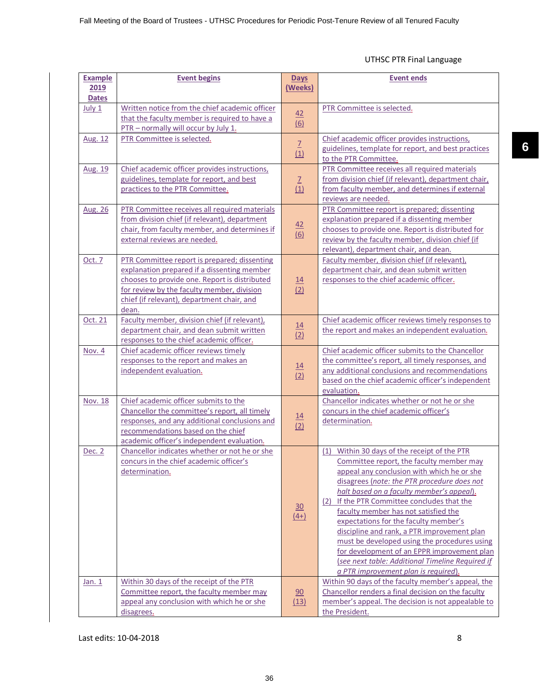| <b>Example</b> | <b>Event begins</b>                                                                      | <b>Days</b>      | <b>Event ends</b>                                                                          |
|----------------|------------------------------------------------------------------------------------------|------------------|--------------------------------------------------------------------------------------------|
| 2019           |                                                                                          | <u>(Weeks)</u>   |                                                                                            |
| <b>Dates</b>   |                                                                                          |                  |                                                                                            |
| July 1         | Written notice from the chief academic officer                                           | 42               | PTR Committee is selected.                                                                 |
|                | that the faculty member is required to have a                                            | (6)              |                                                                                            |
|                | PTR - normally will occur by July 1.                                                     |                  |                                                                                            |
| Aug. 12        | PTR Committee is selected.                                                               |                  | Chief academic officer provides instructions,                                              |
|                |                                                                                          | $\frac{7}{(1)}$  | guidelines, template for report, and best practices                                        |
|                |                                                                                          |                  | to the PTR Committee.                                                                      |
| Aug. 19        | Chief academic officer provides instructions,                                            |                  | PTR Committee receives all required materials                                              |
|                | guidelines, template for report, and best                                                | $\frac{7}{(1)}$  | from division chief (if relevant), department chair,                                       |
|                | practices to the PTR Committee.                                                          |                  | from faculty member, and determines if external                                            |
|                |                                                                                          |                  | reviews are needed.                                                                        |
| Aug. 26        | PTR Committee receives all required materials                                            |                  | PTR Committee report is prepared; dissenting                                               |
|                | from division chief (if relevant), department                                            |                  | explanation prepared if a dissenting member                                                |
|                | chair, from faculty member, and determines if                                            | $\frac{42}{(6)}$ | chooses to provide one. Report is distributed for                                          |
|                | external reviews are needed.                                                             |                  | review by the faculty member, division chief (if<br>relevant), department chair, and dean. |
| Oct. 7         | PTR Committee report is prepared; dissenting                                             |                  | Faculty member, division chief (if relevant).                                              |
|                | explanation prepared if a dissenting member                                              |                  | department chair, and dean submit written                                                  |
|                | chooses to provide one. Report is distributed                                            | $\underline{14}$ | responses to the chief academic officer.                                                   |
|                | for review by the faculty member, division                                               | (2)              |                                                                                            |
|                | chief (if relevant), department chair, and                                               |                  |                                                                                            |
|                | dean.                                                                                    |                  |                                                                                            |
| Oct. 21        | Faculty member, division chief (if relevant),                                            |                  | Chief academic officer reviews timely responses to                                         |
|                | department chair, and dean submit written                                                | $\frac{14}{(2)}$ | the report and makes an independent evaluation.                                            |
|                | responses to the chief academic officer.                                                 |                  |                                                                                            |
| Nov. 4         | Chief academic officer reviews timely                                                    |                  | Chief academic officer submits to the Chancellor                                           |
|                | responses to the report and makes an                                                     |                  | the committee's report, all timely responses, and                                          |
|                | independent evaluation.                                                                  | 14<br>(2)        | any additional conclusions and recommendations                                             |
|                |                                                                                          |                  | based on the chief academic officer's independent                                          |
|                |                                                                                          |                  | evaluation.                                                                                |
| <b>Nov. 18</b> | Chief academic officer submits to the                                                    |                  | Chancellor indicates whether or not he or she                                              |
|                | Chancellor the committee's report, all timely                                            | $\frac{14}{1}$   | concurs in the chief academic officer's                                                    |
|                | responses, and any additional conclusions and                                            | (2)              | determination.                                                                             |
|                | recommendations based on the chief                                                       |                  |                                                                                            |
|                | academic officer's independent evaluation.                                               |                  |                                                                                            |
| Dec. 2         | Chancellor indicates whether or not he or she<br>concurs in the chief academic officer's |                  | Within 30 days of the receipt of the PTR<br>(1)                                            |
|                | determination.                                                                           |                  | Committee report, the faculty member may<br>appeal any conclusion with which he or she     |
|                |                                                                                          |                  | disagrees (note: the PTR procedure does not                                                |
|                |                                                                                          |                  | halt based on a faculty member's appeal).                                                  |
|                |                                                                                          |                  | (2) If the PTR Committee concludes that the                                                |
|                |                                                                                          | $\underline{30}$ | faculty member has not satisfied the                                                       |
|                |                                                                                          | $(4+)$           | expectations for the faculty member's                                                      |
|                |                                                                                          |                  | discipline and rank, a PTR improvement plan                                                |
|                |                                                                                          |                  | must be developed using the procedures using                                               |
|                |                                                                                          |                  | for development of an EPPR improvement plan                                                |
|                |                                                                                          |                  | (see next table: Additional Timeline Required if                                           |
|                |                                                                                          |                  | a PTR improvement plan is required).                                                       |
| Jan. $1$       | Within 30 days of the receipt of the PTR                                                 |                  | Within 90 days of the faculty member's appeal, the                                         |
|                | Committee report, the faculty member may                                                 | 90               | Chancellor renders a final decision on the faculty                                         |
|                | appeal any conclusion with which he or she                                               | (13)             | member's appeal. The decision is not appealable to                                         |
|                | disagrees.                                                                               |                  | the President.                                                                             |

Last edits: 10-04-2018 8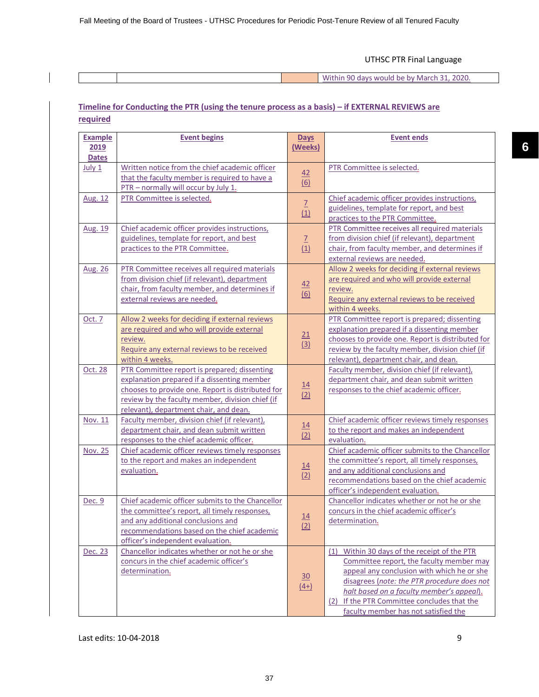|  | $\cdots$<br>-2020.<br>) days would be by March.<br>Within |
|--|-----------------------------------------------------------|

## **Timeline for Conducting the PTR (using the tenure process as a basis) – if EXTERNAL REVIEWS are required**

| <b>Example</b>       | <b>Event begins</b>                                                                                                                                                                                                                            | Days                                | <b>Event ends</b>                                                                                                                                                                                                                                                                                                         |
|----------------------|------------------------------------------------------------------------------------------------------------------------------------------------------------------------------------------------------------------------------------------------|-------------------------------------|---------------------------------------------------------------------------------------------------------------------------------------------------------------------------------------------------------------------------------------------------------------------------------------------------------------------------|
| 2019<br><b>Dates</b> |                                                                                                                                                                                                                                                | (Weeks)                             |                                                                                                                                                                                                                                                                                                                           |
| July 1               | Written notice from the chief academic officer<br>that the faculty member is required to have a<br>PTR - normally will occur by July 1.                                                                                                        | 42<br>$\underline{(6)}$             | PTR Committee is selected.                                                                                                                                                                                                                                                                                                |
| Aug. 12              | PTR Committee is selected.                                                                                                                                                                                                                     | $\overline{1}$<br>(1)               | Chief academic officer provides instructions,<br>guidelines, template for report, and best<br>practices to the PTR Committee.                                                                                                                                                                                             |
| Aug. 19              | Chief academic officer provides instructions,<br>guidelines, template for report, and best<br>practices to the PTR Committee.                                                                                                                  | $\mathbb{Z}$<br>(1)                 | PTR Committee receives all required materials<br>from division chief (if relevant), department<br>chair, from faculty member, and determines if<br>external reviews are needed.                                                                                                                                           |
| Aug. 26              | PTR Committee receives all required materials<br>from division chief (if relevant), department<br>chair, from faculty member, and determines if<br>external reviews are needed.                                                                | $\frac{42}{1}$<br>$\underline{(6)}$ | Allow 2 weeks for deciding if external reviews<br>are required and who will provide external<br>review.<br>Require any external reviews to be received<br>within 4 weeks.                                                                                                                                                 |
| Oct. 7               | Allow 2 weeks for deciding if external reviews<br>are required and who will provide external<br>review.<br>Require any external reviews to be received<br>within 4 weeks.                                                                      | 21<br>(3)                           | PTR Committee report is prepared; dissenting<br>explanation prepared if a dissenting member<br>chooses to provide one. Report is distributed for<br>review by the faculty member, division chief (if<br>relevant), department chair, and dean.                                                                            |
| Oct. 28              | PTR Committee report is prepared; dissenting<br>explanation prepared if a dissenting member<br>chooses to provide one. Report is distributed for<br>review by the faculty member, division chief (if<br>relevant), department chair, and dean. | $\frac{14}{(2)}$                    | Faculty member, division chief (if relevant),<br>department chair, and dean submit written<br>responses to the chief academic officer.                                                                                                                                                                                    |
| Nov. 11              | Faculty member, division chief (if relevant),<br>department chair, and dean submit written<br>responses to the chief academic officer.                                                                                                         | $\frac{14}{(2)}$                    | Chief academic officer reviews timely responses<br>to the report and makes an independent<br>evaluation.                                                                                                                                                                                                                  |
| Nov. 25              | Chief academic officer reviews timely responses<br>to the report and makes an independent<br>evaluation.                                                                                                                                       | $\underline{14}$<br>(2)             | Chief academic officer submits to the Chancellor<br>the committee's report, all timely responses,<br>and any additional conclusions and<br>recommendations based on the chief academic<br>officer's independent evaluation.                                                                                               |
| Dec. 9               | Chief academic officer submits to the Chancellor<br>the committee's report, all timely responses,<br>and any additional conclusions and<br>recommendations based on the chief academic<br>officer's independent evaluation.                    | $\underline{14}$<br>(2)             | Chancellor indicates whether or not he or she<br>concurs in the chief academic officer's<br>determination.                                                                                                                                                                                                                |
| Dec. 23              | Chancellor indicates whether or not he or she<br>concurs in the chief academic officer's<br>determination.                                                                                                                                     | $\underline{30}$<br>$(4+)$          | (1) Within 30 days of the receipt of the PTR<br>Committee report, the faculty member may<br>appeal any conclusion with which he or she<br>disagrees (note: the PTR procedure does not<br>halt based on a faculty member's appeal).<br>(2) If the PTR Committee concludes that the<br>faculty member has not satisfied the |

 $\overline{\phantom{a}}$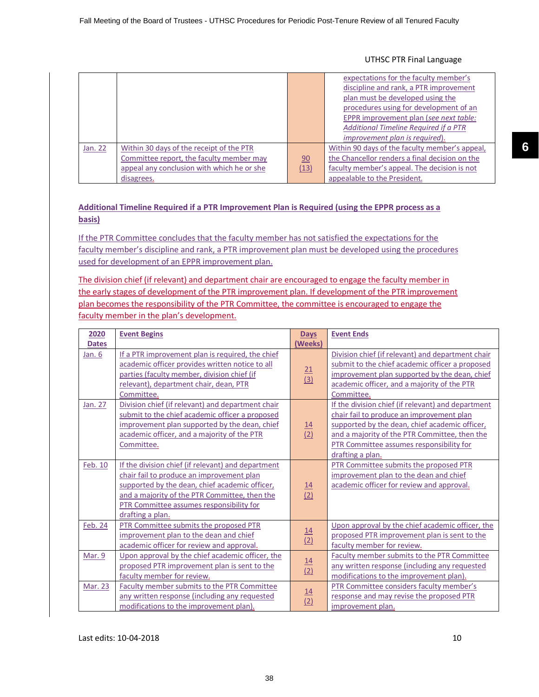|         |                                            |      | expectations for the faculty member's<br>discipline and rank, a PTR improvement<br>plan must be developed using the |
|---------|--------------------------------------------|------|---------------------------------------------------------------------------------------------------------------------|
|         |                                            |      | procedures using for development of an<br>EPPR improvement plan (see next table:                                    |
|         |                                            |      | Additional Timeline Required if a PTR                                                                               |
|         |                                            |      | improvement plan is required).                                                                                      |
| Jan. 22 | Within 30 days of the receipt of the PTR   |      | Within 90 days of the faculty member's appeal,                                                                      |
|         | Committee report, the faculty member may   | 90   | the Chancellor renders a final decision on the                                                                      |
|         | appeal any conclusion with which he or she | (13) | faculty member's appeal. The decision is not                                                                        |
|         | disagrees.                                 |      | appealable to the President.                                                                                        |

## **Additional Timeline Required if a PTR Improvement Plan is Required (using the EPPR process as a basis)**

If the PTR Committee concludes that the faculty member has not satisfied the expectations for the faculty member's discipline and rank, a PTR improvement plan must be developed using the procedures used for development of an EPPR improvement plan.

The division chief (if relevant) and department chair are encouraged to engage the faculty member in the early stages of development of the PTR improvement plan. If development of the PTR improvement plan becomes the responsibility of the PTR Committee, the committee is encouraged to engage the faculty member in the plan's development.

| 2020         | <b>Event Begins</b>                                | <b>Days</b>      | <b>Event Ends</b>                                  |
|--------------|----------------------------------------------------|------------------|----------------------------------------------------|
| <b>Dates</b> |                                                    | (Weeks)          |                                                    |
| Jan. 6       | If a PTR improvement plan is required, the chief   |                  | Division chief (if relevant) and department chair  |
|              | academic officer provides written notice to all    |                  | submit to the chief academic officer a proposed    |
|              | parties (faculty member, division chief (if        | $\frac{21}{(3)}$ | improvement plan supported by the dean, chief      |
|              | relevant), department chair, dean, PTR             |                  | academic officer, and a majority of the PTR        |
|              | Committee.                                         |                  | Committee.                                         |
| Jan. 27      | Division chief (if relevant) and department chair  |                  | If the division chief (if relevant) and department |
|              | submit to the chief academic officer a proposed    |                  | chair fail to produce an improvement plan          |
|              | improvement plan supported by the dean, chief      | 14               | supported by the dean, chief academic officer,     |
|              | academic officer, and a majority of the PTR        | (2)              | and a majority of the PTR Committee, then the      |
|              | Committee.                                         |                  | PTR Committee assumes responsibility for           |
|              |                                                    |                  | drafting a plan.                                   |
| Feb. 10      | If the division chief (if relevant) and department |                  | PTR Committee submits the proposed PTR             |
|              | chair fail to produce an improvement plan          |                  | improvement plan to the dean and chief             |
|              | supported by the dean, chief academic officer,     |                  | academic officer for review and approval.          |
|              | and a majority of the PTR Committee, then the      | $\frac{14}{(2)}$ |                                                    |
|              | PTR Committee assumes responsibility for           |                  |                                                    |
|              | drafting a plan.                                   |                  |                                                    |
| Feb. 24      | PTR Committee submits the proposed PTR             |                  | Upon approval by the chief academic officer, the   |
|              | improvement plan to the dean and chief             | $\frac{14}{(2)}$ | proposed PTR improvement plan is sent to the       |
|              | academic officer for review and approval.          |                  | faculty member for review.                         |
| Mar. 9       | Upon approval by the chief academic officer, the   |                  | Faculty member submits to the PTR Committee        |
|              | proposed PTR improvement plan is sent to the       | $\frac{14}{(2)}$ | any written response (including any requested      |
|              | faculty member for review.                         |                  | modifications to the improvement plan).            |
| Mar. 23      | Faculty member submits to the PTR Committee        |                  | PTR Committee considers faculty member's           |
|              | any written response (including any requested      | $\frac{14}{(2)}$ | response and may revise the proposed PTR           |
|              | modifications to the improvement plan).            |                  | improvement plan.                                  |